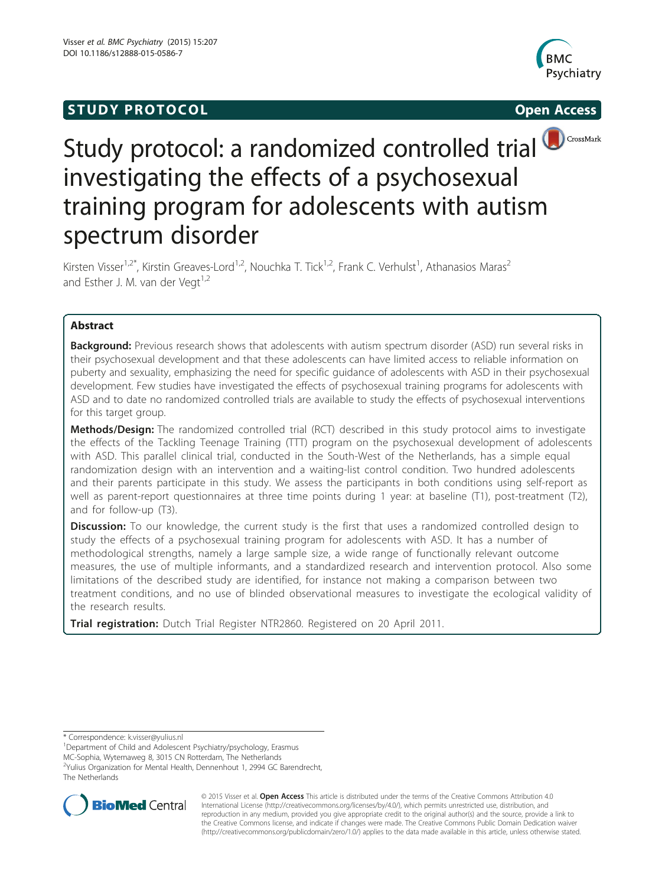## **STUDY PROTOCOL CONSUMING THE CONSUMING OPEN ACCESS**





# Study protocol: a randomized controlled trial investigating the effects of a psychosexual training program for adolescents with autism spectrum disorder

Kirsten Visser<sup>1,2\*</sup>, Kirstin Greaves-Lord<sup>1,2</sup>, Nouchka T. Tick<sup>1,2</sup>, Frank C. Verhulst<sup>1</sup>, Athanasios Maras<sup>2</sup> and Esther J. M. van der Vegt $1,2$ 

### Abstract

Background: Previous research shows that adolescents with autism spectrum disorder (ASD) run several risks in their psychosexual development and that these adolescents can have limited access to reliable information on puberty and sexuality, emphasizing the need for specific guidance of adolescents with ASD in their psychosexual development. Few studies have investigated the effects of psychosexual training programs for adolescents with ASD and to date no randomized controlled trials are available to study the effects of psychosexual interventions for this target group.

Methods/Design: The randomized controlled trial (RCT) described in this study protocol aims to investigate the effects of the Tackling Teenage Training (TTT) program on the psychosexual development of adolescents with ASD. This parallel clinical trial, conducted in the South-West of the Netherlands, has a simple equal randomization design with an intervention and a waiting-list control condition. Two hundred adolescents and their parents participate in this study. We assess the participants in both conditions using self-report as well as parent-report questionnaires at three time points during 1 year: at baseline (T1), post-treatment (T2), and for follow-up (T3).

**Discussion:** To our knowledge, the current study is the first that uses a randomized controlled design to study the effects of a psychosexual training program for adolescents with ASD. It has a number of methodological strengths, namely a large sample size, a wide range of functionally relevant outcome measures, the use of multiple informants, and a standardized research and intervention protocol. Also some limitations of the described study are identified, for instance not making a comparison between two treatment conditions, and no use of blinded observational measures to investigate the ecological validity of the research results.

**Trial registration:** Dutch Trial Register [NTR2860](http://www.trialregister.nl/trialreg/admin/rctview.asp?TC=2860). Registered on 20 April 2011.

\* Correspondence: [k.visser@yulius.nl](mailto:k.visser@yulius.nl) <sup>1</sup>

Department of Child and Adolescent Psychiatry/psychology, Erasmus

MC-Sophia, Wytemaweg 8, 3015 CN Rotterdam, The Netherlands

<sup>2</sup>Yulius Organization for Mental Health, Dennenhout 1, 2994 GC Barendrecht, The Netherlands



© 2015 Visser et al. Open Access This article is distributed under the terms of the Creative Commons Attribution 4.0 International License [\(http://creativecommons.org/licenses/by/4.0/](http://creativecommons.org/licenses/by/4.0/)), which permits unrestricted use, distribution, and reproduction in any medium, provided you give appropriate credit to the original author(s) and the source, provide a link to the Creative Commons license, and indicate if changes were made. The Creative Commons Public Domain Dedication waiver [\(http://creativecommons.org/publicdomain/zero/1.0/](http://creativecommons.org/publicdomain/zero/1.0/)) applies to the data made available in this article, unless otherwise stated.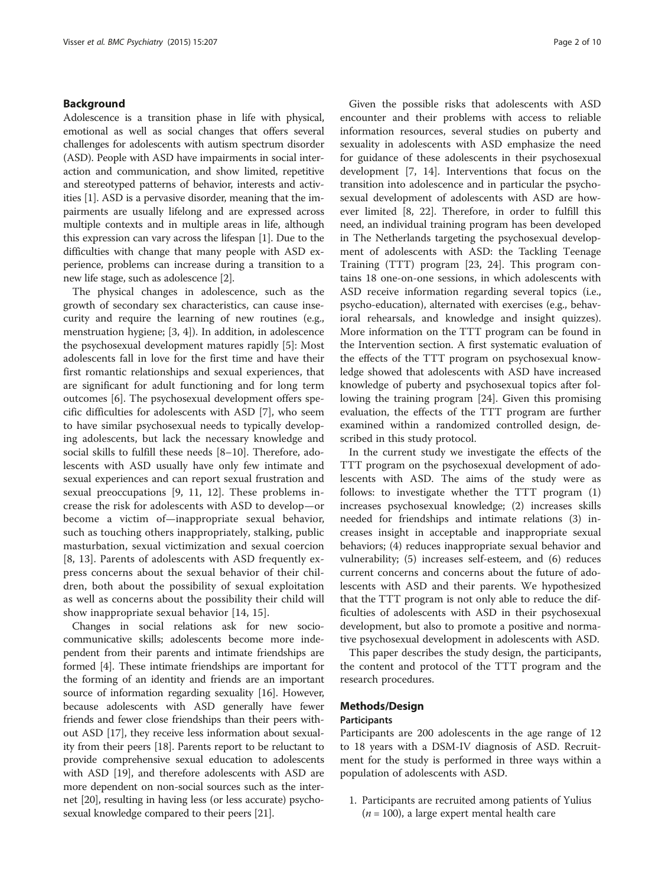#### Background

Adolescence is a transition phase in life with physical, emotional as well as social changes that offers several challenges for adolescents with autism spectrum disorder (ASD). People with ASD have impairments in social interaction and communication, and show limited, repetitive and stereotyped patterns of behavior, interests and activities [[1](#page-8-0)]. ASD is a pervasive disorder, meaning that the impairments are usually lifelong and are expressed across multiple contexts and in multiple areas in life, although this expression can vary across the lifespan [[1](#page-8-0)]. Due to the difficulties with change that many people with ASD experience, problems can increase during a transition to a new life stage, such as adolescence [\[2](#page-8-0)].

The physical changes in adolescence, such as the growth of secondary sex characteristics, can cause insecurity and require the learning of new routines (e.g., menstruation hygiene; [[3, 4\]](#page-8-0)). In addition, in adolescence the psychosexual development matures rapidly [[5\]](#page-8-0): Most adolescents fall in love for the first time and have their first romantic relationships and sexual experiences, that are significant for adult functioning and for long term outcomes [[6](#page-8-0)]. The psychosexual development offers specific difficulties for adolescents with ASD [\[7](#page-8-0)], who seem to have similar psychosexual needs to typically developing adolescents, but lack the necessary knowledge and social skills to fulfill these needs [\[8](#page-8-0)–[10\]](#page-8-0). Therefore, adolescents with ASD usually have only few intimate and sexual experiences and can report sexual frustration and sexual preoccupations [[9, 11, 12](#page-8-0)]. These problems increase the risk for adolescents with ASD to develop—or become a victim of—inappropriate sexual behavior, such as touching others inappropriately, stalking, public masturbation, sexual victimization and sexual coercion [[8, 13\]](#page-8-0). Parents of adolescents with ASD frequently express concerns about the sexual behavior of their children, both about the possibility of sexual exploitation as well as concerns about the possibility their child will show inappropriate sexual behavior [[14, 15\]](#page-8-0).

Changes in social relations ask for new sociocommunicative skills; adolescents become more independent from their parents and intimate friendships are formed [[4](#page-8-0)]. These intimate friendships are important for the forming of an identity and friends are an important source of information regarding sexuality [\[16\]](#page-8-0). However, because adolescents with ASD generally have fewer friends and fewer close friendships than their peers without ASD [[17](#page-8-0)], they receive less information about sexuality from their peers [\[18\]](#page-8-0). Parents report to be reluctant to provide comprehensive sexual education to adolescents with ASD [[19](#page-8-0)], and therefore adolescents with ASD are more dependent on non-social sources such as the internet [\[20](#page-8-0)], resulting in having less (or less accurate) psychosexual knowledge compared to their peers [[21\]](#page-8-0).

Given the possible risks that adolescents with ASD encounter and their problems with access to reliable information resources, several studies on puberty and sexuality in adolescents with ASD emphasize the need for guidance of these adolescents in their psychosexual development [\[7](#page-8-0), [14\]](#page-8-0). Interventions that focus on the transition into adolescence and in particular the psychosexual development of adolescents with ASD are however limited [[8, 22\]](#page-8-0). Therefore, in order to fulfill this need, an individual training program has been developed in The Netherlands targeting the psychosexual development of adolescents with ASD: the Tackling Teenage Training (TTT) program [[23,](#page-8-0) [24\]](#page-9-0). This program contains 18 one-on-one sessions, in which adolescents with ASD receive information regarding several topics (i.e., psycho-education), alternated with exercises (e.g., behavioral rehearsals, and knowledge and insight quizzes). More information on the TTT program can be found in the Intervention section. A first systematic evaluation of the effects of the TTT program on psychosexual knowledge showed that adolescents with ASD have increased knowledge of puberty and psychosexual topics after following the training program [\[24\]](#page-9-0). Given this promising evaluation, the effects of the TTT program are further examined within a randomized controlled design, described in this study protocol.

In the current study we investigate the effects of the TTT program on the psychosexual development of adolescents with ASD. The aims of the study were as follows: to investigate whether the TTT program (1) increases psychosexual knowledge; (2) increases skills needed for friendships and intimate relations (3) increases insight in acceptable and inappropriate sexual behaviors; (4) reduces inappropriate sexual behavior and vulnerability; (5) increases self-esteem, and (6) reduces current concerns and concerns about the future of adolescents with ASD and their parents. We hypothesized that the TTT program is not only able to reduce the difficulties of adolescents with ASD in their psychosexual development, but also to promote a positive and normative psychosexual development in adolescents with ASD.

This paper describes the study design, the participants, the content and protocol of the TTT program and the research procedures.

#### Methods/Design

#### Participants

Participants are 200 adolescents in the age range of 12 to 18 years with a DSM-IV diagnosis of ASD. Recruitment for the study is performed in three ways within a population of adolescents with ASD.

1. Participants are recruited among patients of Yulius  $(n = 100)$ , a large expert mental health care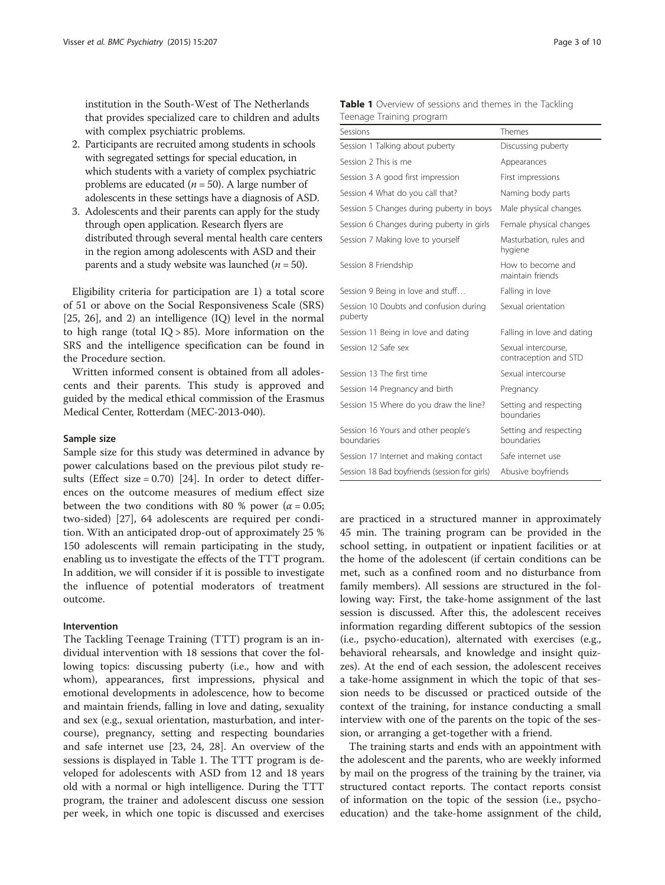institution in the South-West of The Netherlands that provides specialized care to children and adults with complex psychiatric problems.

- 2. Participants are recruited among students in schools with segregated settings for special education, in which students with a variety of complex psychiatric problems are educated ( $n = 50$ ). A large number of adolescents in these settings have a diagnosis of ASD.
- 3. Adolescents and their parents can apply for the study through open application. Research flyers are distributed through several mental health care centers in the region among adolescents with ASD and their parents and a study website was launched ( $n = 50$ ).

Eligibility criteria for participation are 1) a total score of 51 or above on the Social Responsiveness Scale (SRS) [[25, 26](#page-9-0)], and 2) an intelligence (IQ) level in the normal to high range (total  $IQ > 85$ ). More information on the SRS and the intelligence specification can be found in the Procedure section.

Written informed consent is obtained from all adolescents and their parents. This study is approved and guided by the medical ethical commission of the Erasmus Medical Center, Rotterdam (MEC-2013-040).

#### Sample size

Sample size for this study was determined in advance by power calculations based on the previous pilot study results (Effect size  $= 0.70$ ) [[24](#page-9-0)]. In order to detect differences on the outcome measures of medium effect size between the two conditions with 80 % power ( $\alpha$  = 0.05; two-sided) [\[27\]](#page-9-0), 64 adolescents are required per condition. With an anticipated drop-out of approximately 25 % 150 adolescents will remain participating in the study, enabling us to investigate the effects of the TTT program. In addition, we will consider if it is possible to investigate the influence of potential moderators of treatment outcome.

#### Intervention

The Tackling Teenage Training (TTT) program is an individual intervention with 18 sessions that cover the following topics: discussing puberty (i.e., how and with whom), appearances, first impressions, physical and emotional developments in adolescence, how to become and maintain friends, falling in love and dating, sexuality and sex (e.g., sexual orientation, masturbation, and intercourse), pregnancy, setting and respecting boundaries and safe internet use [\[23](#page-8-0), [24, 28](#page-9-0)]. An overview of the sessions is displayed in Table 1. The TTT program is developed for adolescents with ASD from 12 and 18 years old with a normal or high intelligence. During the TTT program, the trainer and adolescent discuss one session per week, in which one topic is discussed and exercises

| <b>Table 1</b> Overview of sessions and themes in the Tackling |  |  |  |  |
|----------------------------------------------------------------|--|--|--|--|
| Teenage Training program                                       |  |  |  |  |

| Sessions                                          | Themes                                       |
|---------------------------------------------------|----------------------------------------------|
| Session 1 Talking about puberty                   | Discussing puberty                           |
| Session 2 This is me                              | Appearances                                  |
| Session 3 A good first impression                 | First impressions                            |
| Session 4 What do you call that?                  | Naming body parts                            |
| Session 5 Changes during puberty in boys          | Male physical changes                        |
| Session 6 Changes during puberty in girls         | Female physical changes                      |
| Session 7 Making love to yourself                 | Masturbation, rules and<br>hygiene           |
| Session 8 Friendship                              | How to become and<br>maintain friends        |
| Session 9 Being in love and stuff                 | Falling in love                              |
| Session 10 Doubts and confusion during<br>puberty | Sexual orientation                           |
| Session 11 Being in love and dating               | Falling in love and dating                   |
| Session 12 Safe sex                               | Sexual intercourse.<br>contraception and STD |
| Session 13 The first time                         | Sexual intercourse                           |
| Session 14 Pregnancy and birth                    | Pregnancy                                    |
| Session 15 Where do you draw the line?            | Setting and respecting<br>boundaries         |
| Session 16 Yours and other people's<br>boundaries | Setting and respecting<br>boundaries         |
| Session 17 Internet and making contact            | Safe internet use                            |
| Session 18 Bad boyfriends (session for girls)     | Abusive boyfriends                           |

are practiced in a structured manner in approximately 45 min. The training program can be provided in the school setting, in outpatient or inpatient facilities or at the home of the adolescent (if certain conditions can be met, such as a confined room and no disturbance from family members). All sessions are structured in the following way: First, the take-home assignment of the last session is discussed. After this, the adolescent receives information regarding different subtopics of the session (i.e., psycho-education), alternated with exercises (e.g., behavioral rehearsals, and knowledge and insight quizzes). At the end of each session, the adolescent receives a take-home assignment in which the topic of that session needs to be discussed or practiced outside of the context of the training, for instance conducting a small interview with one of the parents on the topic of the session, or arranging a get-together with a friend.

The training starts and ends with an appointment with the adolescent and the parents, who are weekly informed by mail on the progress of the training by the trainer, via structured contact reports. The contact reports consist of information on the topic of the session (i.e., psychoeducation) and the take-home assignment of the child,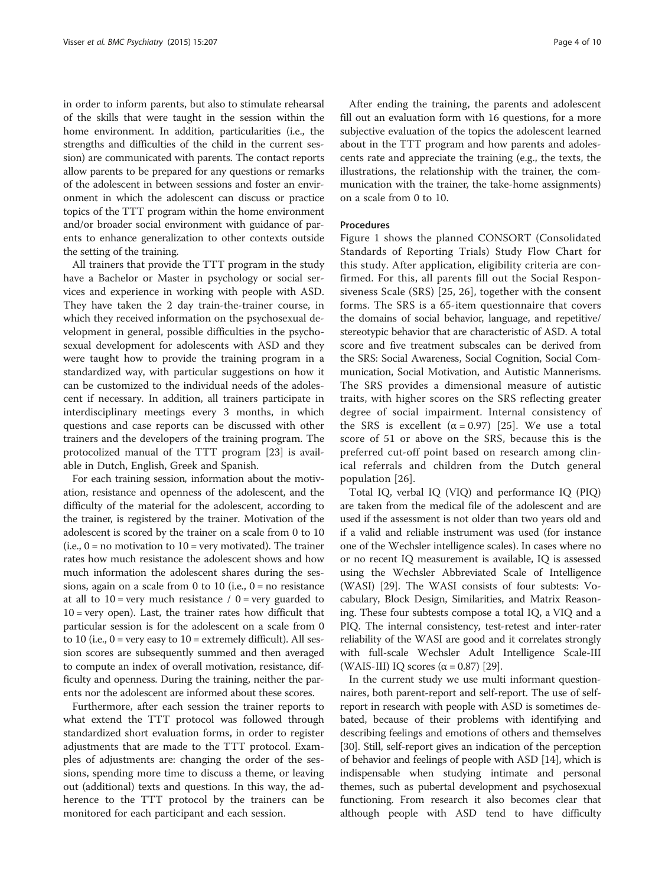in order to inform parents, but also to stimulate rehearsal of the skills that were taught in the session within the home environment. In addition, particularities (i.e., the strengths and difficulties of the child in the current session) are communicated with parents. The contact reports allow parents to be prepared for any questions or remarks of the adolescent in between sessions and foster an environment in which the adolescent can discuss or practice topics of the TTT program within the home environment and/or broader social environment with guidance of parents to enhance generalization to other contexts outside the setting of the training.

All trainers that provide the TTT program in the study have a Bachelor or Master in psychology or social services and experience in working with people with ASD. They have taken the 2 day train-the-trainer course, in which they received information on the psychosexual development in general, possible difficulties in the psychosexual development for adolescents with ASD and they were taught how to provide the training program in a standardized way, with particular suggestions on how it can be customized to the individual needs of the adolescent if necessary. In addition, all trainers participate in interdisciplinary meetings every 3 months, in which questions and case reports can be discussed with other trainers and the developers of the training program. The protocolized manual of the TTT program [\[23\]](#page-8-0) is available in Dutch, English, Greek and Spanish.

For each training session, information about the motivation, resistance and openness of the adolescent, and the difficulty of the material for the adolescent, according to the trainer, is registered by the trainer. Motivation of the adolescent is scored by the trainer on a scale from 0 to 10 (i.e.,  $0 =$  no motivation to  $10 =$  very motivated). The trainer rates how much resistance the adolescent shows and how much information the adolescent shares during the sessions, again on a scale from 0 to 10 (i.e.,  $0 =$  no resistance at all to  $10 = \text{very much resistance} / 0 = \text{very guarded to}$  $10 =$  very open). Last, the trainer rates how difficult that particular session is for the adolescent on a scale from 0 to 10 (i.e.,  $0 =$  very easy to  $10 =$  extremely difficult). All session scores are subsequently summed and then averaged to compute an index of overall motivation, resistance, difficulty and openness. During the training, neither the parents nor the adolescent are informed about these scores.

Furthermore, after each session the trainer reports to what extend the TTT protocol was followed through standardized short evaluation forms, in order to register adjustments that are made to the TTT protocol. Examples of adjustments are: changing the order of the sessions, spending more time to discuss a theme, or leaving out (additional) texts and questions. In this way, the adherence to the TTT protocol by the trainers can be monitored for each participant and each session.

After ending the training, the parents and adolescent fill out an evaluation form with 16 questions, for a more subjective evaluation of the topics the adolescent learned about in the TTT program and how parents and adolescents rate and appreciate the training (e.g., the texts, the illustrations, the relationship with the trainer, the communication with the trainer, the take-home assignments) on a scale from 0 to 10.

#### Procedures

Figure [1](#page-4-0) shows the planned CONSORT (Consolidated Standards of Reporting Trials) Study Flow Chart for this study. After application, eligibility criteria are confirmed. For this, all parents fill out the Social Responsiveness Scale (SRS) [[25, 26](#page-9-0)], together with the consent forms. The SRS is a 65-item questionnaire that covers the domains of social behavior, language, and repetitive/ stereotypic behavior that are characteristic of ASD. A total score and five treatment subscales can be derived from the SRS: Social Awareness, Social Cognition, Social Communication, Social Motivation, and Autistic Mannerisms. The SRS provides a dimensional measure of autistic traits, with higher scores on the SRS reflecting greater degree of social impairment. Internal consistency of the SRS is excellent  $(\alpha = 0.97)$  [[25\]](#page-9-0). We use a total score of 51 or above on the SRS, because this is the preferred cut-off point based on research among clinical referrals and children from the Dutch general population [[26\]](#page-9-0).

Total IQ, verbal IQ (VIQ) and performance IQ (PIQ) are taken from the medical file of the adolescent and are used if the assessment is not older than two years old and if a valid and reliable instrument was used (for instance one of the Wechsler intelligence scales). In cases where no or no recent IQ measurement is available, IQ is assessed using the Wechsler Abbreviated Scale of Intelligence (WASI) [[29](#page-9-0)]. The WASI consists of four subtests: Vocabulary, Block Design, Similarities, and Matrix Reasoning. These four subtests compose a total IQ, a VIQ and a PIQ. The internal consistency, test-retest and inter-rater reliability of the WASI are good and it correlates strongly with full-scale Wechsler Adult Intelligence Scale-III (WAIS-III) IQ scores  $(\alpha = 0.87)$  [\[29](#page-9-0)].

In the current study we use multi informant questionnaires, both parent-report and self-report. The use of selfreport in research with people with ASD is sometimes debated, because of their problems with identifying and describing feelings and emotions of others and themselves [[30](#page-9-0)]. Still, self-report gives an indication of the perception of behavior and feelings of people with ASD [\[14\]](#page-8-0), which is indispensable when studying intimate and personal themes, such as pubertal development and psychosexual functioning. From research it also becomes clear that although people with ASD tend to have difficulty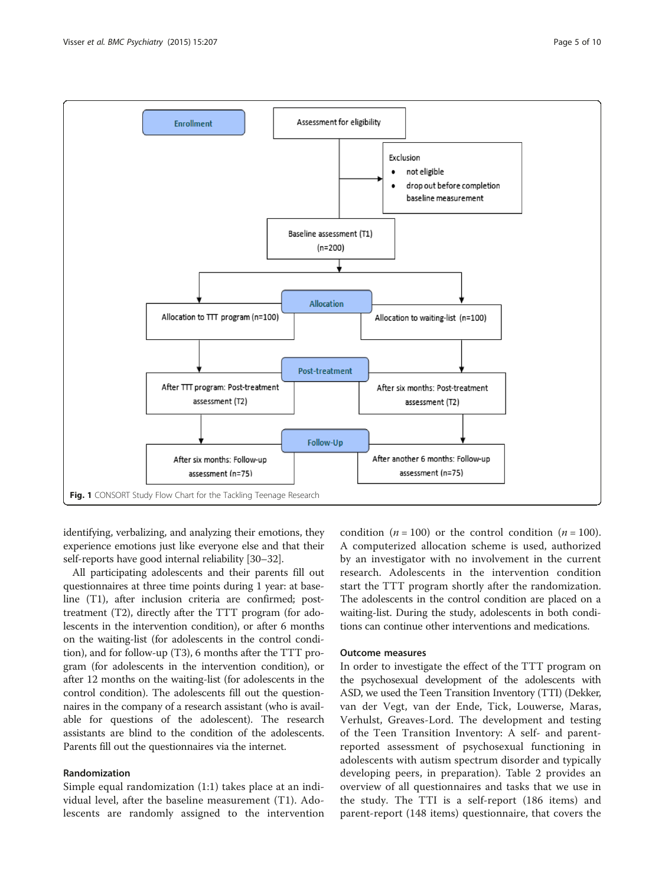<span id="page-4-0"></span>

identifying, verbalizing, and analyzing their emotions, they experience emotions just like everyone else and that their self-reports have good internal reliability [\[30](#page-9-0)–[32](#page-9-0)].

All participating adolescents and their parents fill out questionnaires at three time points during 1 year: at baseline (T1), after inclusion criteria are confirmed; posttreatment (T2), directly after the TTT program (for adolescents in the intervention condition), or after 6 months on the waiting-list (for adolescents in the control condition), and for follow-up (T3), 6 months after the TTT program (for adolescents in the intervention condition), or after 12 months on the waiting-list (for adolescents in the control condition). The adolescents fill out the questionnaires in the company of a research assistant (who is available for questions of the adolescent). The research assistants are blind to the condition of the adolescents. Parents fill out the questionnaires via the internet.

#### Randomization

Simple equal randomization (1:1) takes place at an individual level, after the baseline measurement (T1). Adolescents are randomly assigned to the intervention condition ( $n = 100$ ) or the control condition ( $n = 100$ ). A computerized allocation scheme is used, authorized by an investigator with no involvement in the current research. Adolescents in the intervention condition start the TTT program shortly after the randomization. The adolescents in the control condition are placed on a waiting-list. During the study, adolescents in both conditions can continue other interventions and medications.

#### Outcome measures

In order to investigate the effect of the TTT program on the psychosexual development of the adolescents with ASD, we used the Teen Transition Inventory (TTI) (Dekker, van der Vegt, van der Ende, Tick, Louwerse, Maras, Verhulst, Greaves-Lord. The development and testing of the Teen Transition Inventory: A self- and parentreported assessment of psychosexual functioning in adolescents with autism spectrum disorder and typically developing peers, in preparation). Table [2](#page-5-0) provides an overview of all questionnaires and tasks that we use in the study. The TTI is a self-report (186 items) and parent-report (148 items) questionnaire, that covers the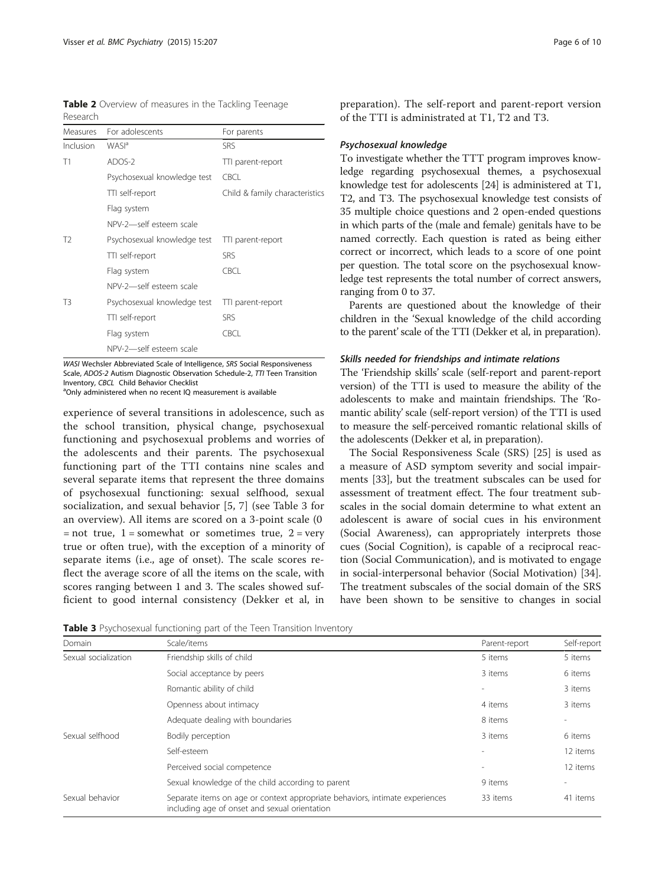<span id="page-5-0"></span>Table 2 Overview of measures in the Tackling Teenage Research

| Measures       | For adolescents             | For parents                    |  |  |
|----------------|-----------------------------|--------------------------------|--|--|
| Inclusion      | <b>WASI<sup>a</sup></b>     | <b>SRS</b>                     |  |  |
| T1             | ADOS-2                      | TTI parent-report              |  |  |
|                | Psychosexual knowledge test | <b>CBCL</b>                    |  |  |
|                | TTI self-report             | Child & family characteristics |  |  |
|                | Flag system                 |                                |  |  |
|                | NPV-2-self esteem scale     |                                |  |  |
| T <sub>2</sub> | Psychosexual knowledge test | TTI parent-report              |  |  |
|                | TTI self-report             | SRS                            |  |  |
|                | Flag system                 | <b>CBCL</b>                    |  |  |
|                | NPV-2-self esteem scale     |                                |  |  |
| T <sub>3</sub> | Psychosexual knowledge test | TTI parent-report              |  |  |
|                | TTI self-report             | SRS                            |  |  |
|                | Flag system                 | <b>CBCL</b>                    |  |  |
|                | NPV-2-self esteem scale     |                                |  |  |

WASI Wechsler Abbreviated Scale of Intelligence, SRS Social Responsiveness Scale, ADOS-2 Autism Diagnostic Observation Schedule-2, TTI Teen Transition Inventory, CBCL Child Behavior Checklist <sup>a</sup>Only administered when no recent IQ measurement is available

experience of several transitions in adolescence, such as the school transition, physical change, psychosexual functioning and psychosexual problems and worries of the adolescents and their parents. The psychosexual functioning part of the TTI contains nine scales and several separate items that represent the three domains of psychosexual functioning: sexual selfhood, sexual socialization, and sexual behavior [[5, 7](#page-8-0)] (see Table 3 for an overview). All items are scored on a 3-point scale (0  $=$  not true, 1 = somewhat or sometimes true, 2 = very true or often true), with the exception of a minority of separate items (i.e., age of onset). The scale scores reflect the average score of all the items on the scale, with scores ranging between 1 and 3. The scales showed sufficient to good internal consistency (Dekker et al, in

preparation). The self-report and parent-report version of the TTI is administrated at T1, T2 and T3.

#### Psychosexual knowledge

To investigate whether the TTT program improves knowledge regarding psychosexual themes, a psychosexual knowledge test for adolescents [\[24](#page-9-0)] is administered at T1, T2, and T3. The psychosexual knowledge test consists of 35 multiple choice questions and 2 open-ended questions in which parts of the (male and female) genitals have to be named correctly. Each question is rated as being either correct or incorrect, which leads to a score of one point per question. The total score on the psychosexual knowledge test represents the total number of correct answers, ranging from 0 to 37.

Parents are questioned about the knowledge of their children in the 'Sexual knowledge of the child according to the parent'scale of the TTI (Dekker et al, in preparation).

#### Skills needed for friendships and intimate relations

The 'Friendship skills' scale (self-report and parent-report version) of the TTI is used to measure the ability of the adolescents to make and maintain friendships. The 'Romantic ability' scale (self-report version) of the TTI is used to measure the self-perceived romantic relational skills of the adolescents (Dekker et al, in preparation).

The Social Responsiveness Scale (SRS) [[25\]](#page-9-0) is used as a measure of ASD symptom severity and social impairments [[33](#page-9-0)], but the treatment subscales can be used for assessment of treatment effect. The four treatment subscales in the social domain determine to what extent an adolescent is aware of social cues in his environment (Social Awareness), can appropriately interprets those cues (Social Cognition), is capable of a reciprocal reaction (Social Communication), and is motivated to engage in social-interpersonal behavior (Social Motivation) [\[34](#page-9-0)]. The treatment subscales of the social domain of the SRS have been shown to be sensitive to changes in social

| Domain               | Scale/items                                                                                                                   | Parent-report | Self-report |
|----------------------|-------------------------------------------------------------------------------------------------------------------------------|---------------|-------------|
| Sexual socialization | Friendship skills of child                                                                                                    | 5 items       | 5 items     |
|                      | Social acceptance by peers                                                                                                    | 3 items       | 6 items     |
|                      | Romantic ability of child                                                                                                     | ۰             | 3 items     |
|                      | Openness about intimacy                                                                                                       | 4 items       | 3 items     |
|                      | Adequate dealing with boundaries                                                                                              | 8 items       | $\sim$      |
| Sexual selfhood      | Bodily perception                                                                                                             | 3 items       | 6 items     |
|                      | Self-esteem                                                                                                                   |               | 12 items    |
|                      | Perceived social competence                                                                                                   | ۰             | 12 items    |
|                      | Sexual knowledge of the child according to parent                                                                             | 9 items       | $\sim$      |
| Sexual behavior      | Separate items on age or context appropriate behaviors, intimate experiences<br>including age of onset and sexual orientation | 33 items      | 41 items    |

Table 3 Psychosexual functioning part of the Teen Transition Inventory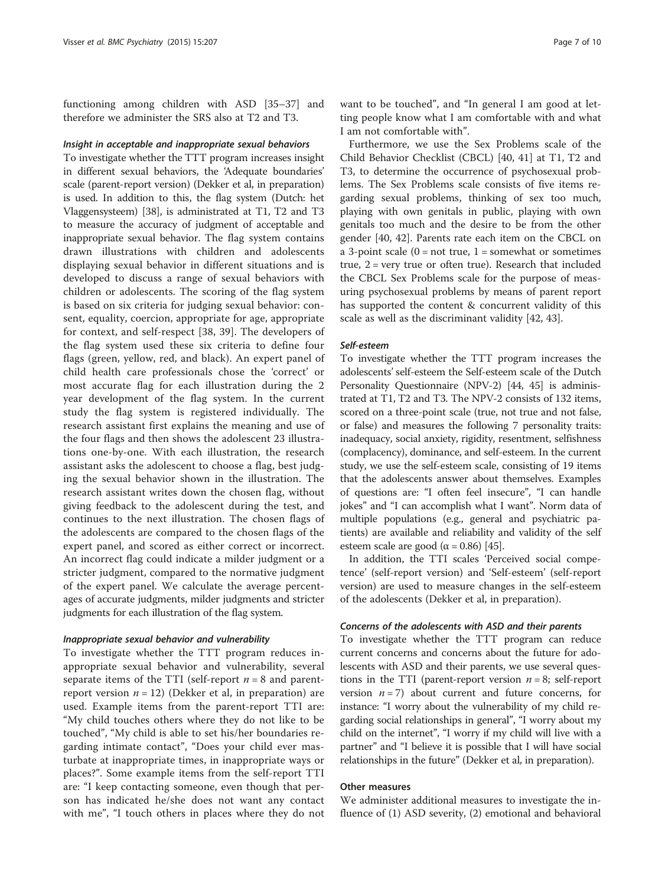functioning among children with ASD [[35](#page-9-0)–[37](#page-9-0)] and therefore we administer the SRS also at T2 and T3.

#### Insight in acceptable and inappropriate sexual behaviors

To investigate whether the TTT program increases insight in different sexual behaviors, the 'Adequate boundaries' scale (parent-report version) (Dekker et al, in preparation) is used. In addition to this, the flag system (Dutch: het Vlaggensysteem) [\[38](#page-9-0)], is administrated at T1, T2 and T3 to measure the accuracy of judgment of acceptable and inappropriate sexual behavior. The flag system contains drawn illustrations with children and adolescents displaying sexual behavior in different situations and is developed to discuss a range of sexual behaviors with children or adolescents. The scoring of the flag system is based on six criteria for judging sexual behavior: consent, equality, coercion, appropriate for age, appropriate for context, and self-respect [[38](#page-9-0), [39\]](#page-9-0). The developers of the flag system used these six criteria to define four flags (green, yellow, red, and black). An expert panel of child health care professionals chose the 'correct' or most accurate flag for each illustration during the 2 year development of the flag system. In the current study the flag system is registered individually. The research assistant first explains the meaning and use of the four flags and then shows the adolescent 23 illustrations one-by-one. With each illustration, the research assistant asks the adolescent to choose a flag, best judging the sexual behavior shown in the illustration. The research assistant writes down the chosen flag, without giving feedback to the adolescent during the test, and continues to the next illustration. The chosen flags of the adolescents are compared to the chosen flags of the expert panel, and scored as either correct or incorrect. An incorrect flag could indicate a milder judgment or a stricter judgment, compared to the normative judgment of the expert panel. We calculate the average percentages of accurate judgments, milder judgments and stricter judgments for each illustration of the flag system.

#### Inappropriate sexual behavior and vulnerability

To investigate whether the TTT program reduces inappropriate sexual behavior and vulnerability, several separate items of the TTI (self-report  $n = 8$  and parentreport version  $n = 12$ ) (Dekker et al, in preparation) are used. Example items from the parent-report TTI are: "My child touches others where they do not like to be touched", "My child is able to set his/her boundaries regarding intimate contact", "Does your child ever masturbate at inappropriate times, in inappropriate ways or places?". Some example items from the self-report TTI are: "I keep contacting someone, even though that person has indicated he/she does not want any contact with me", "I touch others in places where they do not want to be touched", and "In general I am good at letting people know what I am comfortable with and what I am not comfortable with".

Furthermore, we use the Sex Problems scale of the Child Behavior Checklist (CBCL) [[40, 41](#page-9-0)] at T1, T2 and T3, to determine the occurrence of psychosexual problems. The Sex Problems scale consists of five items regarding sexual problems, thinking of sex too much, playing with own genitals in public, playing with own genitals too much and the desire to be from the other gender [\[40, 42](#page-9-0)]. Parents rate each item on the CBCL on a 3-point scale  $(0 = not true, 1 = somewhat or sometimes)$ true,  $2$  = very true or often true). Research that included the CBCL Sex Problems scale for the purpose of measuring psychosexual problems by means of parent report has supported the content & concurrent validity of this scale as well as the discriminant validity [[42](#page-9-0), [43](#page-9-0)].

#### Self-esteem

To investigate whether the TTT program increases the adolescents' self-esteem the Self-esteem scale of the Dutch Personality Questionnaire (NPV-2) [[44](#page-9-0), [45\]](#page-9-0) is administrated at T1, T2 and T3. The NPV-2 consists of 132 items, scored on a three-point scale (true, not true and not false, or false) and measures the following 7 personality traits: inadequacy, social anxiety, rigidity, resentment, selfishness (complacency), dominance, and self-esteem. In the current study, we use the self-esteem scale, consisting of 19 items that the adolescents answer about themselves. Examples of questions are: "I often feel insecure", "I can handle jokes" and "I can accomplish what I want". Norm data of multiple populations (e.g., general and psychiatric patients) are available and reliability and validity of the self esteem scale are good ( $\alpha$  = 0.86) [\[45\]](#page-9-0).

In addition, the TTI scales 'Perceived social competence' (self-report version) and 'Self-esteem' (self-report version) are used to measure changes in the self-esteem of the adolescents (Dekker et al, in preparation).

#### Concerns of the adolescents with ASD and their parents

To investigate whether the TTT program can reduce current concerns and concerns about the future for adolescents with ASD and their parents, we use several questions in the TTI (parent-report version  $n = 8$ ; self-report version  $n = 7$ ) about current and future concerns, for instance: "I worry about the vulnerability of my child regarding social relationships in general", "I worry about my child on the internet", "I worry if my child will live with a partner" and "I believe it is possible that I will have social relationships in the future" (Dekker et al, in preparation).

#### Other measures

We administer additional measures to investigate the influence of (1) ASD severity, (2) emotional and behavioral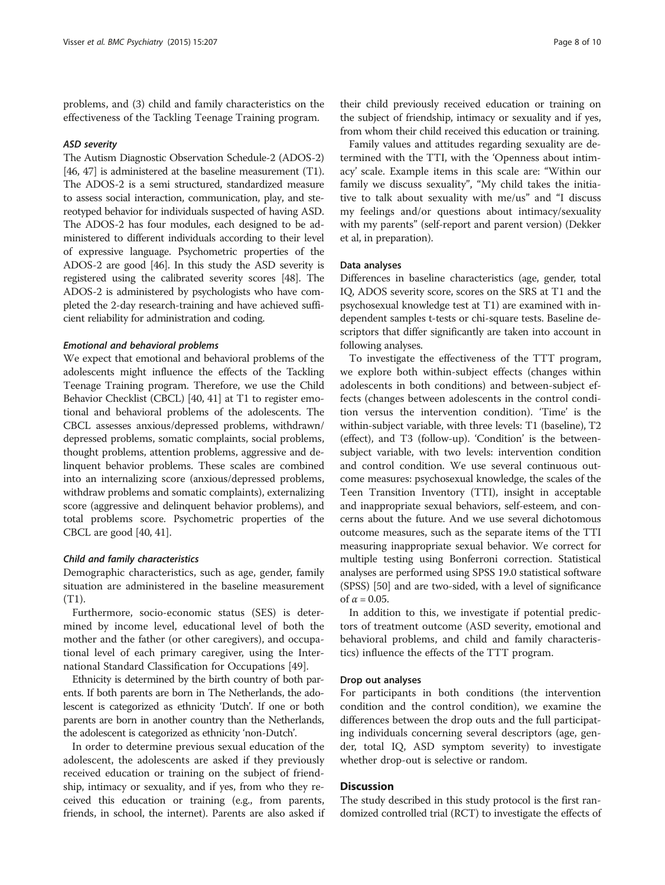problems, and (3) child and family characteristics on the effectiveness of the Tackling Teenage Training program.

#### ASD severity

The Autism Diagnostic Observation Schedule-2 (ADOS-2) [[46](#page-9-0), [47\]](#page-9-0) is administered at the baseline measurement (T1). The ADOS-2 is a semi structured, standardized measure to assess social interaction, communication, play, and stereotyped behavior for individuals suspected of having ASD. The ADOS-2 has four modules, each designed to be administered to different individuals according to their level of expressive language. Psychometric properties of the ADOS-2 are good [[46](#page-9-0)]. In this study the ASD severity is registered using the calibrated severity scores [\[48\]](#page-9-0). The ADOS-2 is administered by psychologists who have completed the 2-day research-training and have achieved sufficient reliability for administration and coding.

#### Emotional and behavioral problems

We expect that emotional and behavioral problems of the adolescents might influence the effects of the Tackling Teenage Training program. Therefore, we use the Child Behavior Checklist (CBCL) [\[40, 41](#page-9-0)] at T1 to register emotional and behavioral problems of the adolescents. The CBCL assesses anxious/depressed problems, withdrawn/ depressed problems, somatic complaints, social problems, thought problems, attention problems, aggressive and delinquent behavior problems. These scales are combined into an internalizing score (anxious/depressed problems, withdraw problems and somatic complaints), externalizing score (aggressive and delinquent behavior problems), and total problems score. Psychometric properties of the CBCL are good [\[40](#page-9-0), [41](#page-9-0)].

#### Child and family characteristics

Demographic characteristics, such as age, gender, family situation are administered in the baseline measurement (T1).

Furthermore, socio-economic status (SES) is determined by income level, educational level of both the mother and the father (or other caregivers), and occupational level of each primary caregiver, using the International Standard Classification for Occupations [\[49](#page-9-0)].

Ethnicity is determined by the birth country of both parents. If both parents are born in The Netherlands, the adolescent is categorized as ethnicity 'Dutch'. If one or both parents are born in another country than the Netherlands, the adolescent is categorized as ethnicity 'non-Dutch'.

In order to determine previous sexual education of the adolescent, the adolescents are asked if they previously received education or training on the subject of friendship, intimacy or sexuality, and if yes, from who they received this education or training (e.g., from parents, friends, in school, the internet). Parents are also asked if

their child previously received education or training on the subject of friendship, intimacy or sexuality and if yes, from whom their child received this education or training.

Family values and attitudes regarding sexuality are determined with the TTI, with the 'Openness about intimacy' scale. Example items in this scale are: "Within our family we discuss sexuality", "My child takes the initiative to talk about sexuality with me/us" and "I discuss my feelings and/or questions about intimacy/sexuality with my parents" (self-report and parent version) (Dekker et al, in preparation).

#### Data analyses

Differences in baseline characteristics (age, gender, total IQ, ADOS severity score, scores on the SRS at T1 and the psychosexual knowledge test at T1) are examined with independent samples t-tests or chi-square tests. Baseline descriptors that differ significantly are taken into account in following analyses.

To investigate the effectiveness of the TTT program, we explore both within-subject effects (changes within adolescents in both conditions) and between-subject effects (changes between adolescents in the control condition versus the intervention condition). 'Time' is the within-subject variable, with three levels: T1 (baseline), T2 (effect), and T3 (follow-up). 'Condition' is the betweensubject variable, with two levels: intervention condition and control condition. We use several continuous outcome measures: psychosexual knowledge, the scales of the Teen Transition Inventory (TTI), insight in acceptable and inappropriate sexual behaviors, self-esteem, and concerns about the future. And we use several dichotomous outcome measures, such as the separate items of the TTI measuring inappropriate sexual behavior. We correct for multiple testing using Bonferroni correction. Statistical analyses are performed using SPSS 19.0 statistical software (SPSS) [\[50](#page-9-0)] and are two-sided, with a level of significance of  $\alpha = 0.05$ .

In addition to this, we investigate if potential predictors of treatment outcome (ASD severity, emotional and behavioral problems, and child and family characteristics) influence the effects of the TTT program.

#### Drop out analyses

For participants in both conditions (the intervention condition and the control condition), we examine the differences between the drop outs and the full participating individuals concerning several descriptors (age, gender, total IQ, ASD symptom severity) to investigate whether drop-out is selective or random.

#### Discussion

The study described in this study protocol is the first randomized controlled trial (RCT) to investigate the effects of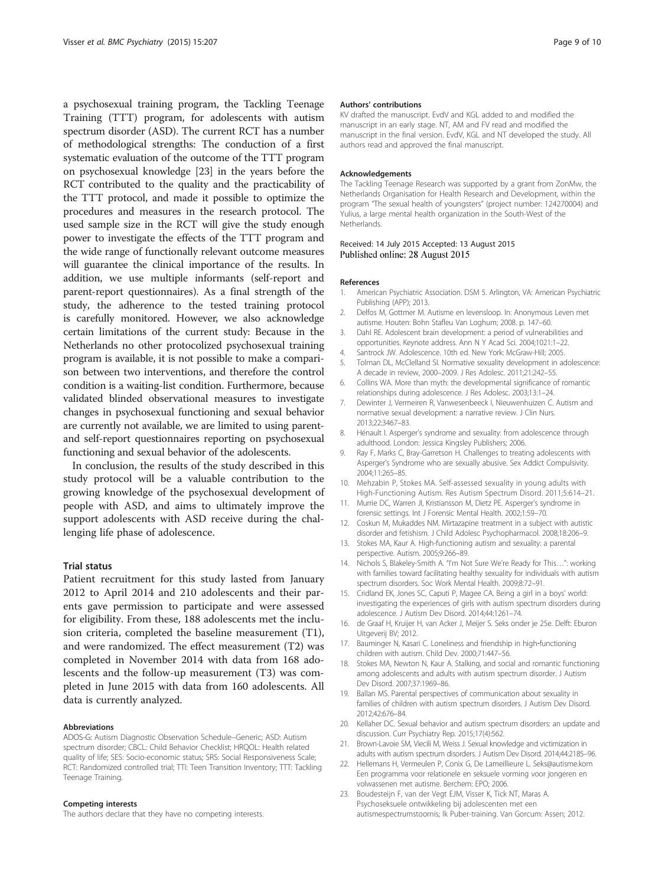<span id="page-8-0"></span>a psychosexual training program, the Tackling Teenage Training (TTT) program, for adolescents with autism spectrum disorder (ASD). The current RCT has a number of methodological strengths: The conduction of a first systematic evaluation of the outcome of the TTT program on psychosexual knowledge [23] in the years before the RCT contributed to the quality and the practicability of the TTT protocol, and made it possible to optimize the procedures and measures in the research protocol. The used sample size in the RCT will give the study enough power to investigate the effects of the TTT program and the wide range of functionally relevant outcome measures will guarantee the clinical importance of the results. In addition, we use multiple informants (self-report and parent-report questionnaires). As a final strength of the study, the adherence to the tested training protocol is carefully monitored. However, we also acknowledge certain limitations of the current study: Because in the Netherlands no other protocolized psychosexual training program is available, it is not possible to make a comparison between two interventions, and therefore the control condition is a waiting-list condition. Furthermore, because validated blinded observational measures to investigate changes in psychosexual functioning and sexual behavior are currently not available, we are limited to using parentand self-report questionnaires reporting on psychosexual functioning and sexual behavior of the adolescents.

In conclusion, the results of the study described in this study protocol will be a valuable contribution to the growing knowledge of the psychosexual development of people with ASD, and aims to ultimately improve the support adolescents with ASD receive during the challenging life phase of adolescence.

#### Trial status

Patient recruitment for this study lasted from January 2012 to April 2014 and 210 adolescents and their parents gave permission to participate and were assessed for eligibility. From these, 188 adolescents met the inclusion criteria, completed the baseline measurement (T1), and were randomized. The effect measurement (T2) was completed in November 2014 with data from 168 adolescents and the follow-up measurement (T3) was completed in June 2015 with data from 160 adolescents. All data is currently analyzed.

#### Abbreviations

ADOS-G: Autism Diagnostic Observation Schedule–Generic; ASD: Autism spectrum disorder; CBCL: Child Behavior Checklist; HRQOL: Health related quality of life; SES: Socio-economic status; SRS: Social Responsiveness Scale; RCT: Randomized controlled trial; TTI: Teen Transition Inventory; TTT: Tackling Teenage Training.

#### Competing interests

The authors declare that they have no competing interests.

#### Authors' contributions

KV drafted the manuscript. EvdV and KGL added to and modified the manuscript in an early stage. NT, AM and FV read and modified the manuscript in the final version. EvdV, KGL and NT developed the study. All authors read and approved the final manuscript.

#### Acknowledgements

The Tackling Teenage Research was supported by a grant from ZonMw, the Netherlands Organisation for Health Research and Development, within the program "The sexual health of youngsters" (project number: 124270004) and Yulius, a large mental health organization in the South-West of the Netherlands.

#### Received: 14 July 2015 Accepted: 13 August 2015 Published online: 28 August 2015

#### References

- 1. American Psychiatric Association. DSM 5. Arlington, VA: American Psychiatric Publishing (APP); 2013.
- 2. Delfos M, Gottmer M. Autisme en levensloop. In: Anonymous Leven met autisme. Houten: Bohn Stafleu Van Loghum; 2008. p. 147–60.
- 3. Dahl RE. Adolescent brain development: a period of vulnerabilities and opportunities. Keynote address. Ann N Y Acad Sci. 2004;1021:1–22.
- 4. Santrock JW. Adolescence. 10th ed. New York: McGraw-Hill; 2005.
- 5. Tolman DL, McClelland SI. Normative sexuality development in adolescence: A decade in review, 2000–2009. J Res Adolesc. 2011;21:242–55.
- Collins WA. More than myth: the developmental significance of romantic relationships during adolescence. J Res Adolesc. 2003;13:1–24.
- 7. Dewinter J, Vermeiren R, Vanwesenbeeck I, Nieuwenhuizen C. Autism and normative sexual development: a narrative review. J Clin Nurs. 2013;22:3467–83.
- 8. Hénault I. Asperger's syndrome and sexuality: from adolescence through adulthood. London: Jessica Kingsley Publishers; 2006.
- Ray F, Marks C, Bray-Garretson H. Challenges to treating adolescents with Asperger's Syndrome who are sexually abusive. Sex Addict Compulsivity. 2004;11:265–85.
- 10. Mehzabin P, Stokes MA. Self-assessed sexuality in young adults with High-Functioning Autism. Res Autism Spectrum Disord. 2011;5:614–21.
- 11. Murrie DC, Warren JI, Kristiansson M, Dietz PE. Asperger's syndrome in forensic settings. Int J Forensic Mental Health. 2002;1:59–70.
- 12. Coskun M, Mukaddes NM. Mirtazapine treatment in a subject with autistic disorder and fetishism. J Child Adolesc Psychopharmacol. 2008;18:206–9.
- 13. Stokes MA, Kaur A. High-functioning autism and sexuality: a parental perspective. Autism. 2005;9:266–89.
- 14. Nichols S, Blakeley-Smith A. "I'm Not Sure We're Ready for This…": working with families toward facilitating healthy sexuality for individuals with autism spectrum disorders. Soc Work Mental Health. 2009;8:72–91.
- 15. Cridland EK, Jones SC, Caputi P, Magee CA. Being a girl in a boys' world: investigating the experiences of girls with autism spectrum disorders during adolescence. J Autism Dev Disord. 2014;44:1261–74.
- 16. de Graaf H, Kruijer H, van Acker J, Meijer S. Seks onder je 25e. Delft: Eburon Uitgeverij BV; 2012.
- 17. Bauminger N, Kasari C. Loneliness and friendship in high-functioning children with autism. Child Dev. 2000;71:447–56.
- 18. Stokes MA, Newton N, Kaur A. Stalking, and social and romantic functioning among adolescents and adults with autism spectrum disorder. J Autism Dev Disord. 2007;37:1969–86.
- 19. Ballan MS. Parental perspectives of communication about sexuality in families of children with autism spectrum disorders. J Autism Dev Disord. 2012;42:676–84.
- 20. Kellaher DC. Sexual behavior and autism spectrum disorders: an update and discussion. Curr Psychiatry Rep. 2015;17(4):562.
- 21. Brown-Lavoie SM, Viecili M, Weiss J. Sexual knowledge and victimization in adults with autism spectrum disorders. J Autism Dev Disord. 2014;44:2185–96.
- 22. Hellemans H, Vermeulen P, Conix G, De Lameillieure L. Seks@autisme.kom Een programma voor relationele en seksuele vorming voor jongeren en volwassenen met autisme. Berchem: EPO; 2006.
- 23. Boudesteijn F, van der Vegt EJM, Visser K, Tick NT, Maras A. Psychoseksuele ontwikkeling bij adolescenten met een autismespectrumstoornis; Ik Puber-training. Van Gorcum: Assen; 2012.